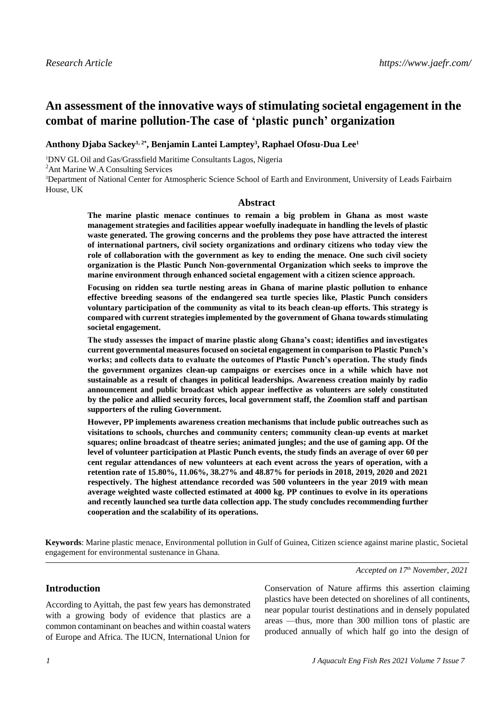# **An assessment of the innovative ways of stimulating societal engagement in the combat of marine pollution-The case of 'plastic punch' organization**

**Anthony Djaba Sackey1, 2\* , Benjamin Lantei Lamptey<sup>3</sup> , Raphael Ofosu-Dua Lee<sup>1</sup>**

<sup>1</sup>DNV GL Oil and Gas/Grassfield Maritime Consultants Lagos, Nigeria

<sup>2</sup>Ant Marine W.A Consulting Services

<sup>3</sup>Department of National Center for Atmospheric Science School of Earth and Environment, University of Leads Fairbairn House, UK

#### **Abstract**

**The marine plastic menace continues to remain a big problem in Ghana as most waste management strategies and facilities appear woefully inadequate in handling the levels of plastic waste generated. The growing concerns and the problems they pose have attracted the interest of international partners, civil society organizations and ordinary citizens who today view the role of collaboration with the government as key to ending the menace. One such civil society organization is the Plastic Punch Non-governmental Organization which seeks to improve the marine environment through enhanced societal engagement with a citizen science approach.**

**Focusing on ridden sea turtle nesting areas in Ghana of marine plastic pollution to enhance effective breeding seasons of the endangered sea turtle species like, Plastic Punch considers voluntary participation of the community as vital to its beach clean-up efforts. This strategy is compared with current strategies implemented by the government of Ghana towards stimulating societal engagement.**

**The study assesses the impact of marine plastic along Ghana's coast; identifies and investigates current governmental measures focused on societal engagement in comparison to Plastic Punch's works; and collects data to evaluate the outcomes of Plastic Punch's operation. The study finds the government organizes clean-up campaigns or exercises once in a while which have not sustainable as a result of changes in political leaderships. Awareness creation mainly by radio announcement and public broadcast which appear ineffective as volunteers are solely constituted by the police and allied security forces, local government staff, the Zoomlion staff and partisan supporters of the ruling Government.**

**However, PP implements awareness creation mechanisms that include public outreaches such as visitations to schools, churches and community centers; community clean-up events at market squares; online broadcast of theatre series; animated jungles; and the use of gaming app. Of the level of volunteer participation at Plastic Punch events, the study finds an average of over 60 per cent regular attendances of new volunteers at each event across the years of operation, with a retention rate of 15.80%, 11.06%, 38.27% and 48.87% for periods in 2018, 2019, 2020 and 2021 respectively. The highest attendance recorded was 500 volunteers in the year 2019 with mean average weighted waste collected estimated at 4000 kg. PP continues to evolve in its operations and recently launched sea turtle data collection app. The study concludes recommending further cooperation and the scalability of its operations.**

**Keywords**: Marine plastic menace, Environmental pollution in Gulf of Guinea, Citizen science against marine plastic, Societal engagement for environmental sustenance in Ghana.

### **Introduction**

According to Ayittah, the past few years has demonstrated with a growing body of evidence that plastics are a common contaminant on beaches and within coastal waters of Europe and Africa. The IUCN, International Union for

Conservation of Nature affirms this assertion claiming plastics have been detected on shorelines of all continents, near popular tourist destinations and in densely populated areas —thus, more than 300 million tons of plastic are produced annually of which half go into the design of

*Accepted on 17th November, 2021*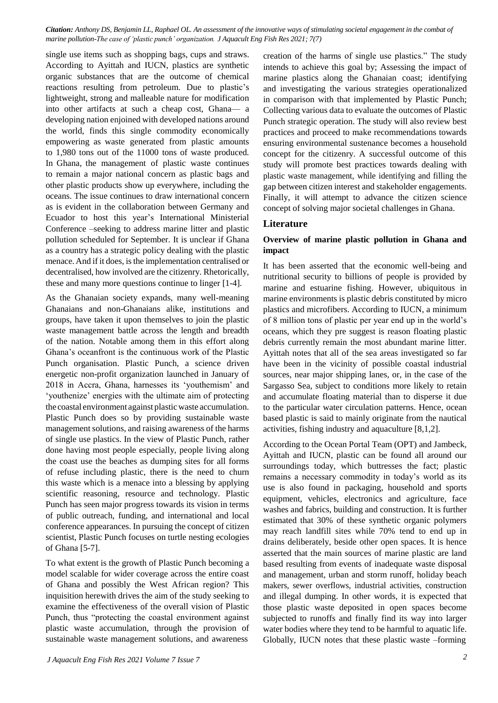*Citation: Anthony DS, Benjamin LL, Raphael OL. An assessment of the innovative ways of stimulating societal engagement in the combat of marine pollution-The case of 'plastic punch' organization. J Aquacult Eng Fish Res 2021; 7(7)*

single use items such as shopping bags, cups and straws. According to Ayittah and IUCN, plastics are synthetic organic substances that are the outcome of chemical reactions resulting from petroleum. Due to plastic's lightweight, strong and malleable nature for modification into other artifacts at such a cheap cost, Ghana— a developing nation enjoined with developed nations around the world, finds this single commodity economically empowering as waste generated from plastic amounts to 1,980 tons out of the 11000 tons of waste produced. In Ghana, the management of plastic waste continues to remain a major national concern as plastic bags and other plastic products show up everywhere, including the oceans. The issue continues to draw international concern as is evident in the collaboration between Germany and Ecuador to host this year's International Ministerial Conference –seeking to address marine litter and plastic pollution scheduled for September. It is unclear if Ghana as a country has a strategic policy dealing with the plastic menace. And if it does, is the implementation centralised or decentralised, how involved are the citizenry. Rhetorically, these and many more questions continue to linger [1-4].

As the Ghanaian society expands, many well-meaning Ghanaians and non-Ghanaians alike, institutions and groups, have taken it upon themselves to join the plastic waste management battle across the length and breadth of the nation. Notable among them in this effort along Ghana's oceanfront is the continuous work of the Plastic Punch organisation. Plastic Punch, a science driven energetic non-profit organization launched in January of 2018 in Accra, Ghana, harnesses its 'youthemism' and 'youthenize' energies with the ultimate aim of protecting the coastal environment against plasticwaste accumulation. Plastic Punch does so by providing sustainable waste management solutions, and raising awareness of the harms of single use plastics. In the view of Plastic Punch, rather done having most people especially, people living along the coast use the beaches as dumping sites for all forms of refuse including plastic, there is the need to churn this waste which is a menace into a blessing by applying scientific reasoning, resource and technology. Plastic Punch has seen major progress towards its vision in terms of public outreach, funding, and international and local conference appearances. In pursuing the concept of citizen scientist, Plastic Punch focuses on turtle nesting ecologies of Ghana [5-7].

To what extent is the growth of Plastic Punch becoming a model scalable for wider coverage across the entire coast of Ghana and possibly the West African region? This inquisition herewith drives the aim of the study seeking to examine the effectiveness of the overall vision of Plastic Punch, thus "protecting the coastal environment against plastic waste accumulation, through the provision of sustainable waste management solutions, and awareness

creation of the harms of single use plastics." The study intends to achieve this goal by; Assessing the impact of marine plastics along the Ghanaian coast; identifying and investigating the various strategies operationalized in comparison with that implemented by Plastic Punch; Collecting various data to evaluate the outcomes of Plastic Punch strategic operation. The study will also review best practices and proceed to make recommendations towards ensuring environmental sustenance becomes a household concept for the citizenry. A successful outcome of this study will promote best practices towards dealing with plastic waste management, while identifying and filling the gap between citizen interest and stakeholder engagements. Finally, it will attempt to advance the citizen science concept of solving major societal challenges in Ghana.

## **Literature**

### **Overview of marine plastic pollution in Ghana and impact**

It has been asserted that the economic well-being and nutritional security to billions of people is provided by marine and estuarine fishing. However, ubiquitous in marine environments is plastic debris constituted by micro plastics and microfibers. According to IUCN, a minimum of 8 million tons of plastic per year end up in the world's oceans, which they pre suggest is reason floating plastic debris currently remain the most abundant marine litter. Ayittah notes that all of the sea areas investigated so far have been in the vicinity of possible coastal industrial sources, near major shipping lanes, or, in the case of the Sargasso Sea, subject to conditions more likely to retain and accumulate floating material than to disperse it due to the particular water circulation patterns. Hence, ocean based plastic is said to mainly originate from the nautical activities, fishing industry and aquaculture [8,1,2].

According to the Ocean Portal Team (OPT) and Jambeck, Ayittah and IUCN, plastic can be found all around our surroundings today, which buttresses the fact; plastic remains a necessary commodity in today's world as its use is also found in packaging, household and sports equipment, vehicles, electronics and agriculture, face washes and fabrics, building and construction. It is further estimated that 30% of these synthetic organic polymers may reach landfill sites while 70% tend to end up in drains deliberately, beside other open spaces. It is hence asserted that the main sources of marine plastic are land based resulting from events of inadequate waste disposal and management, urban and storm runoff, holiday beach makers, sewer overflows, industrial activities, construction and illegal dumping. In other words, it is expected that those plastic waste deposited in open spaces become subjected to runoffs and finally find its way into larger water bodies where they tend to be harmful to aquatic life. Globally, IUCN notes that these plastic waste –forming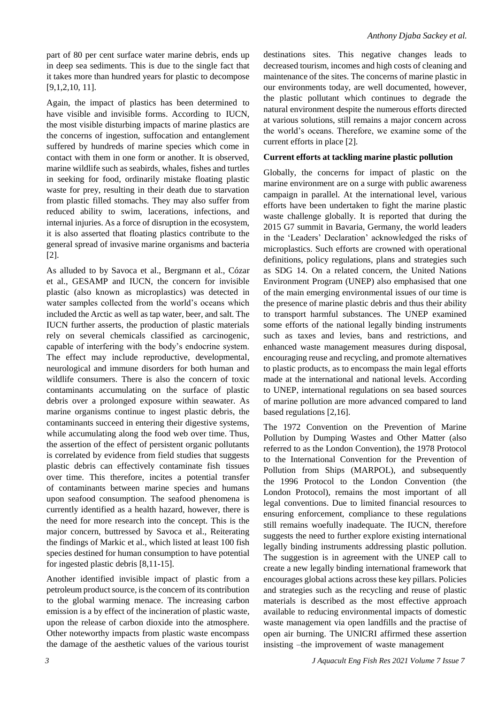part of 80 per cent surface water marine debris, ends up in deep sea sediments. This is due to the single fact that it takes more than hundred years for plastic to decompose [9,1,2,10, 11].

Again, the impact of plastics has been determined to have visible and invisible forms. According to IUCN, the most visible disturbing impacts of marine plastics are the concerns of ingestion, suffocation and entanglement suffered by hundreds of marine species which come in contact with them in one form or another. It is observed, marine wildlife such as seabirds, whales, fishes and turtles in seeking for food, ordinarily mistake floating plastic waste for prey, resulting in their death due to starvation from plastic filled stomachs. They may also suffer from reduced ability to swim, lacerations, infections, and internal injuries. As a force of disruption in the ecosystem, it is also asserted that floating plastics contribute to the general spread of invasive marine organisms and bacteria [2].

As alluded to by Savoca et al., Bergmann et al., Cózar et al., GESAMP and IUCN, the concern for invisible plastic (also known as microplastics) was detected in water samples collected from the world's oceans which included the Arctic as well as tap water, beer, and salt. The IUCN further asserts, the production of plastic materials rely on several chemicals classified as carcinogenic, capable of interfering with the body's endocrine system. The effect may include reproductive, developmental, neurological and immune disorders for both human and wildlife consumers. There is also the concern of toxic contaminants accumulating on the surface of plastic debris over a prolonged exposure within seawater. As marine organisms continue to ingest plastic debris, the contaminants succeed in entering their digestive systems, while accumulating along the food web over time. Thus, the assertion of the effect of persistent organic pollutants is correlated by evidence from field studies that suggests plastic debris can effectively contaminate fish tissues over time. This therefore, incites a potential transfer of contaminants between marine species and humans upon seafood consumption. The seafood phenomena is currently identified as a health hazard, however, there is the need for more research into the concept. This is the major concern, buttressed by Savoca et al., Reiterating the findings of Markic et al., which listed at least 100 fish species destined for human consumption to have potential for ingested plastic debris [8,11-15].

Another identified invisible impact of plastic from a petroleum product source, is the concern of its contribution to the global warming menace. The increasing carbon emission is a by effect of the incineration of plastic waste, upon the release of carbon dioxide into the atmosphere. Other noteworthy impacts from plastic waste encompass the damage of the aesthetic values of the various tourist

destinations sites. This negative changes leads to decreased tourism, incomes and high costs of cleaning and maintenance of the sites. The concerns of marine plastic in our environments today, are well documented, however, the plastic pollutant which continues to degrade the natural environment despite the numerous efforts directed at various solutions, still remains a major concern across the world's oceans. Therefore, we examine some of the current efforts in place [2].

#### **Current efforts at tackling marine plastic pollution**

Globally, the concerns for impact of plastic on the marine environment are on a surge with public awareness campaign in parallel. At the international level, various efforts have been undertaken to fight the marine plastic waste challenge globally. It is reported that during the 2015 G7 summit in Bavaria, Germany, the world leaders in the 'Leaders' Declaration' acknowledged the risks of microplastics. Such efforts are crowned with operational definitions, policy regulations, plans and strategies such as SDG 14. On a related concern, the United Nations Environment Program (UNEP) also emphasised that one of the main emerging environmental issues of our time is the presence of marine plastic debris and thus their ability to transport harmful substances. The UNEP examined some efforts of the national legally binding instruments such as taxes and levies, bans and restrictions, and enhanced waste management measures during disposal, encouraging reuse and recycling, and promote alternatives to plastic products, as to encompass the main legal efforts made at the international and national levels. According to UNEP, international regulations on sea based sources of marine pollution are more advanced compared to land based regulations [2,16].

The 1972 Convention on the Prevention of Marine Pollution by Dumping Wastes and Other Matter (also referred to as the London Convention), the 1978 Protocol to the International Convention for the Prevention of Pollution from Ships (MARPOL), and subsequently the 1996 Protocol to the London Convention (the London Protocol), remains the most important of all legal conventions. Due to limited financial resources to ensuring enforcement, compliance to these regulations still remains woefully inadequate. The IUCN, therefore suggests the need to further explore existing international legally binding instruments addressing plastic pollution. The suggestion is in agreement with the UNEP call to create a new legally binding international framework that encourages global actions across these key pillars. Policies and strategies such as the recycling and reuse of plastic materials is described as the most effective approach available to reducing environmental impacts of domestic waste management via open landfills and the practise of open air burning. The UNICRI affirmed these assertion insisting –the improvement of waste management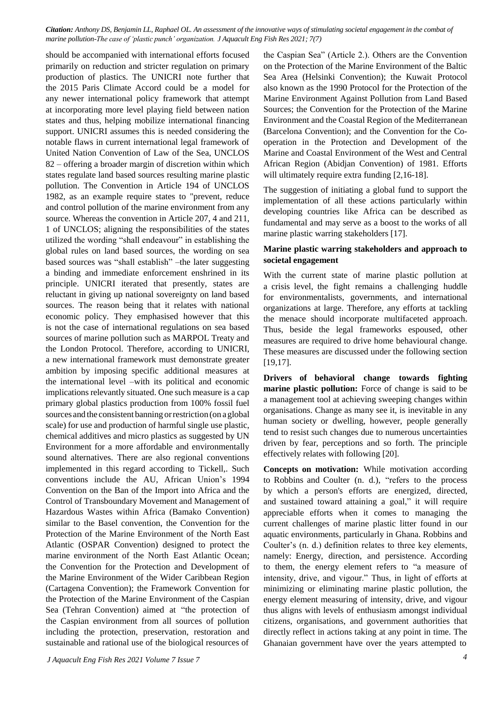*Citation: Anthony DS, Benjamin LL, Raphael OL. An assessment of the innovative ways of stimulating societal engagement in the combat of marine pollution-The case of 'plastic punch' organization. J Aquacult Eng Fish Res 2021; 7(7)*

should be accompanied with international efforts focused primarily on reduction and stricter regulation on primary production of plastics. The UNICRI note further that the 2015 Paris Climate Accord could be a model for any newer international policy framework that attempt at incorporating more level playing field between nation states and thus, helping mobilize international financing support. UNICRI assumes this is needed considering the notable flaws in current international legal framework of United Nation Convention of Law of the Sea, UNCLOS 82 – offering a broader margin of discretion within which states regulate land based sources resulting marine plastic pollution. The Convention in Article 194 of UNCLOS 1982, as an example require states to "prevent, reduce and control pollution of the marine environment from any source. Whereas the convention in Article 207, 4 and 211, 1 of UNCLOS; aligning the responsibilities of the states utilized the wording "shall endeavour" in establishing the global rules on land based sources, the wording on sea based sources was "shall establish" –the later suggesting a binding and immediate enforcement enshrined in its principle. UNICRI iterated that presently, states are reluctant in giving up national sovereignty on land based sources. The reason being that it relates with national economic policy. They emphasised however that this is not the case of international regulations on sea based sources of marine pollution such as MARPOL Treaty and the London Protocol. Therefore, according to UNICRI, a new international framework must demonstrate greater ambition by imposing specific additional measures at the international level –with its political and economic implications relevantly situated. One such measure is a cap primary global plastics production from 100% fossil fuel sources and the consistent banning or restriction (on a global scale) for use and production of harmful single use plastic, chemical additives and micro plastics as suggested by UN Environment for a more affordable and environmentally sound alternatives. There are also regional conventions implemented in this regard according to Tickell,. Such conventions include the AU, African Union's 1994 Convention on the Ban of the Import into Africa and the Control of Transboundary Movement and Management of Hazardous Wastes within Africa (Bamako Convention) similar to the Basel convention, the Convention for the Protection of the Marine Environment of the North East Atlantic (OSPAR Convention) designed to protect the marine environment of the North East Atlantic Ocean; the Convention for the Protection and Development of the Marine Environment of the Wider Caribbean Region (Cartagena Convention); the Framework Convention for the Protection of the Marine Environment of the Caspian Sea (Tehran Convention) aimed at "the protection of the Caspian environment from all sources of pollution including the protection, preservation, restoration and sustainable and rational use of the biological resources of

the Caspian Sea" (Article 2.). Others are the Convention on the Protection of the Marine Environment of the Baltic Sea Area (Helsinki Convention); the Kuwait Protocol also known as the 1990 Protocol for the Protection of the Marine Environment Against Pollution from Land Based Sources; the Convention for the Protection of the Marine Environment and the Coastal Region of the Mediterranean (Barcelona Convention); and the Convention for the Cooperation in the Protection and Development of the Marine and Coastal Environment of the West and Central African Region (Abidjan Convention) of 1981. Efforts will ultimately require extra funding [2,16-18].

The suggestion of initiating a global fund to support the implementation of all these actions particularly within developing countries like Africa can be described as fundamental and may serve as a boost to the works of all marine plastic warring stakeholders [17].

#### **Marine plastic warring stakeholders and approach to societal engagement**

With the current state of marine plastic pollution at a crisis level, the fight remains a challenging huddle for environmentalists, governments, and international organizations at large. Therefore, any efforts at tackling the menace should incorporate multifaceted approach. Thus, beside the legal frameworks espoused, other measures are required to drive home behavioural change. These measures are discussed under the following section [19,17].

**Drivers of behavioral change towards fighting marine plastic pollution:** Force of change is said to be a management tool at achieving sweeping changes within organisations. Change as many see it, is inevitable in any human society or dwelling, however, people generally tend to resist such changes due to numerous uncertainties driven by fear, perceptions and so forth. The principle effectively relates with following [20].

**Concepts on motivation:** While motivation according to Robbins and Coulter (n. d.), "refers to the process by which a person's efforts are energized, directed, and sustained toward attaining a goal," it will require appreciable efforts when it comes to managing the current challenges of marine plastic litter found in our aquatic environments, particularly in Ghana. Robbins and Coulter's (n. d.) definition relates to three key elements, namely: Energy, direction, and persistence. According to them, the energy element refers to "a measure of intensity, drive, and vigour." Thus, in light of efforts at minimizing or eliminating marine plastic pollution, the energy element measuring of intensity, drive, and vigour thus aligns with levels of enthusiasm amongst individual citizens, organisations, and government authorities that directly reflect in actions taking at any point in time. The Ghanaian government have over the years attempted to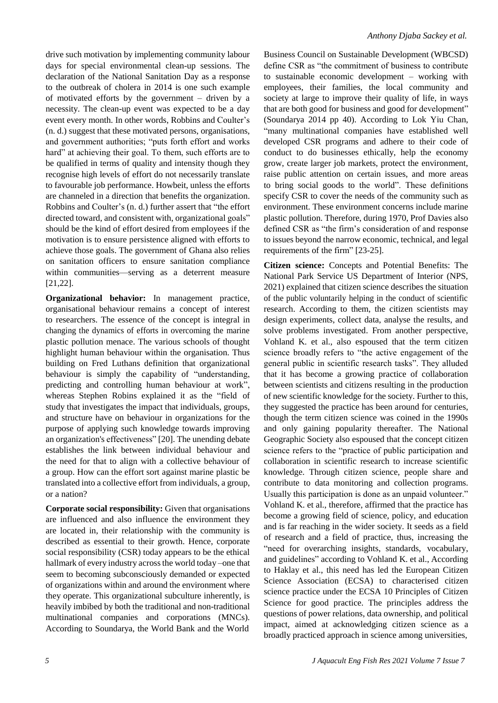drive such motivation by implementing community labour days for special environmental clean-up sessions. The declaration of the National Sanitation Day as a response to the outbreak of cholera in 2014 is one such example of motivated efforts by the government – driven by a necessity. The clean-up event was expected to be a day event every month. In other words, Robbins and Coulter's (n. d.) suggest that these motivated persons, organisations, and government authorities; "puts forth effort and works hard" at achieving their goal. To them, such efforts are to be qualified in terms of quality and intensity though they recognise high levels of effort do not necessarily translate to favourable job performance. Howbeit, unless the efforts are channeled in a direction that benefits the organization. Robbins and Coulter's (n. d.) further assert that "the effort directed toward, and consistent with, organizational goals" should be the kind of effort desired from employees if the motivation is to ensure persistence aligned with efforts to achieve those goals. The government of Ghana also relies on sanitation officers to ensure sanitation compliance within communities—serving as a deterrent measure [21,22].

**Organizational behavior:** In management practice, organisational behaviour remains a concept of interest to researchers. The essence of the concept is integral in changing the dynamics of efforts in overcoming the marine plastic pollution menace. The various schools of thought highlight human behaviour within the organisation. Thus building on Fred Luthans definition that organizational behaviour is simply the capability of "understanding, predicting and controlling human behaviour at work", whereas Stephen Robins explained it as the "field of study that investigates the impact that individuals, groups, and structure have on behaviour in organizations for the purpose of applying such knowledge towards improving an organization's effectiveness" [20]. The unending debate establishes the link between individual behaviour and the need for that to align with a collective behaviour of a group. How can the effort sort against marine plastic be translated into a collective effort from individuals, a group, or a nation?

**Corporate social responsibility:** Given that organisations are influenced and also influence the environment they are located in, their relationship with the community is described as essential to their growth. Hence, corporate social responsibility (CSR) today appears to be the ethical hallmark of every industry across the world today –one that seem to becoming subconsciously demanded or expected of organizations within and around the environment where they operate. This organizational subculture inherently, is heavily imbibed by both the traditional and non-traditional multinational companies and corporations (MNCs). According to Soundarya, the World Bank and the World Business Council on Sustainable Development (WBCSD) define CSR as "the commitment of business to contribute to sustainable economic development – working with employees, their families, the local community and society at large to improve their quality of life, in ways that are both good for business and good for development" (Soundarya 2014 pp 40). According to Lok Yiu Chan, "many multinational companies have established well developed CSR programs and adhere to their code of conduct to do businesses ethically, help the economy grow, create larger job markets, protect the environment, raise public attention on certain issues, and more areas to bring social goods to the world". These definitions specify CSR to cover the needs of the community such as environment. These environment concerns include marine plastic pollution. Therefore, during 1970, Prof Davies also defined CSR as "the firm's consideration of and response to issues beyond the narrow economic, technical, and legal requirements of the firm" [23-25].

**Citizen science:** Concepts and Potential Benefits: The National Park Service US Department of Interior (NPS, 2021) explained that citizen science describes the situation of the public voluntarily helping in the conduct of scientific research. According to them, the citizen scientists may design experiments, collect data, analyse the results, and solve problems investigated. From another perspective, Vohland K. et al., also espoused that the term citizen science broadly refers to "the active engagement of the general public in scientific research tasks". They alluded that it has become a growing practice of collaboration between scientists and citizens resulting in the production of new scientific knowledge for the society. Further to this, they suggested the practice has been around for centuries, though the term citizen science was coined in the 1990s and only gaining popularity thereafter. The National Geographic Society also espoused that the concept citizen science refers to the "practice of public participation and collaboration in scientific research to increase scientific knowledge. Through citizen science, people share and contribute to data monitoring and collection programs. Usually this participation is done as an unpaid volunteer." Vohland K. et al., therefore, affirmed that the practice has become a growing field of science, policy, and education and is far reaching in the wider society. It seeds as a field of research and a field of practice, thus, increasing the "need for overarching insights, standards, vocabulary, and guidelines" according to Vohland K. et al., According to Haklay et al., this need has led the European Citizen Science Association (ECSA) to characterised citizen science practice under the ECSA 10 Principles of Citizen Science for good practice. The principles address the questions of power relations, data ownership, and political impact, aimed at acknowledging citizen science as a broadly practiced approach in science among universities,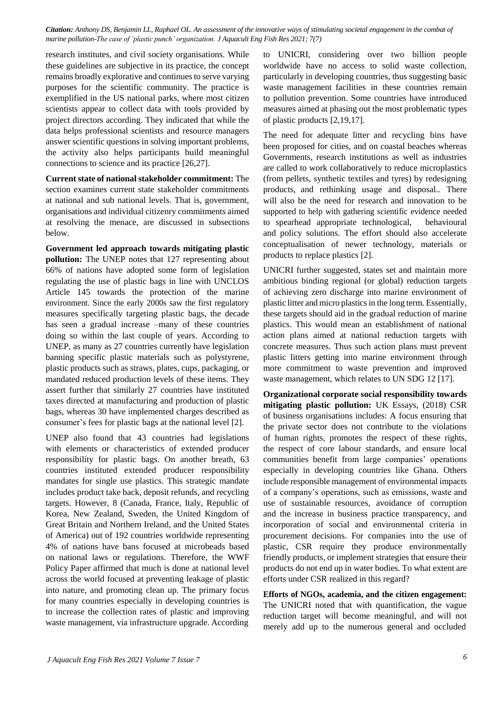*Citation: Anthony DS, Benjamin LL, Raphael OL. An assessment of the innovative ways of stimulating societal engagement in the combat of marine pollution-The case of 'plastic punch' organization. J Aquacult Eng Fish Res 2021; 7(7)*

research institutes, and civil society organisations. While these guidelines are subjective in its practice, the concept remains broadly explorative and continues to serve varying purposes for the scientific community. The practice is exemplified in the US national parks, where most citizen scientists appear to collect data with tools provided by project directors according. They indicated that while the data helps professional scientists and resource managers answer scientific questions in solving important problems, the activity also helps participants build meaningful connections to science and its practice [26,27].

**Current state of national stakeholder commitment:** The section examines current state stakeholder commitments at national and sub national levels. That is, government, organisations and individual citizenry commitments aimed at resolving the menace, are discussed in subsections below.

**Government led approach towards mitigating plastic pollution:** The UNEP notes that 127 representing about 66% of nations have adopted some form of legislation regulating the use of plastic bags in line with UNCLOS Article 145 towards the protection of the marine environment. Since the early 2000s saw the first regulatory measures specifically targeting plastic bags, the decade has seen a gradual increase –many of these countries doing so within the last couple of years. According to UNEP, as many as 27 countries currently have legislation banning specific plastic materials such as polystyrene, plastic products such as straws, plates, cups, packaging, or mandated reduced production levels of these items. They assert further that similarly 27 countries have instituted taxes directed at manufacturing and production of plastic bags, whereas 30 have implemented charges described as consumer's fees for plastic bags at the national level [2].

UNEP also found that 43 countries had legislations with elements or characteristics of extended producer responsibility for plastic bags. On another breath, 63 countries instituted extended producer responsibility mandates for single use plastics. This strategic mandate includes product take back, deposit refunds, and recycling targets. However, 8 (Canada, France, Italy, Republic of Korea, New Zealand, Sweden, the United Kingdom of Great Britain and Northern Ireland, and the United States of America) out of 192 countries worldwide representing 4% of nations have bans focused at microbeads based on national laws or regulations. Therefore, the WWF Policy Paper affirmed that much is done at national level across the world focused at preventing leakage of plastic into nature, and promoting clean up. The primary focus for many countries especially in developing countries is to increase the collection rates of plastic and improving waste management, via infrastructure upgrade. According

to UNICRI, considering over two billion people worldwide have no access to solid waste collection, particularly in developing countries, thus suggesting basic waste management facilities in these countries remain to pollution prevention. Some countries have introduced measures aimed at phasing out the most problematic types of plastic products [2,19,17].

The need for adequate litter and recycling bins have been proposed for cities, and on coastal beaches whereas Governments, research institutions as well as industries are called to work collaboratively to reduce microplastics (from pellets, synthetic textiles and tyres) by redesigning products, and rethinking usage and disposal.. There will also be the need for research and innovation to be supported to help with gathering scientific evidence needed to spearhead appropriate technological, behavioural and policy solutions. The effort should also accelerate conceptualisation of newer technology, materials or products to replace plastics [2].

UNICRI further suggested, states set and maintain more ambitious binding regional (or global) reduction targets of achieving zero discharge into marine environment of plastic litter and micro plasticsin the long term. Essentially, these targets should aid in the gradual reduction of marine plastics. This would mean an establishment of national action plans aimed at national reduction targets with concrete measures. Thus such action plans must prevent plastic litters getting into marine environment through more commitment to waste prevention and improved waste management, which relates to UN SDG 12 [17].

**Organizational corporate social responsibility towards mitigating plastic pollution:** UK Essays, (2018) CSR of business organisations includes: A focus ensuring that the private sector does not contribute to the violations of human rights, promotes the respect of these rights, the respect of core labour standards, and ensure local communities benefit from large companies' operations especially in developing countries like Ghana. Others include responsible management of environmental impacts of a company's operations, such as emissions, waste and use of sustainable resources, avoidance of corruption and the increase in business practice transparency, and incorporation of social and environmental criteria in procurement decisions. For companies into the use of plastic, CSR require they produce environmentally friendly products, or implement strategies that ensure their products do not end up in water bodies. To what extent are efforts under CSR realized in this regard?

**Efforts of NGOs, academia, and the citizen engagement:** The UNICRI noted that with quantification, the vague reduction target will become meaningful, and will not merely add up to the numerous general and occluded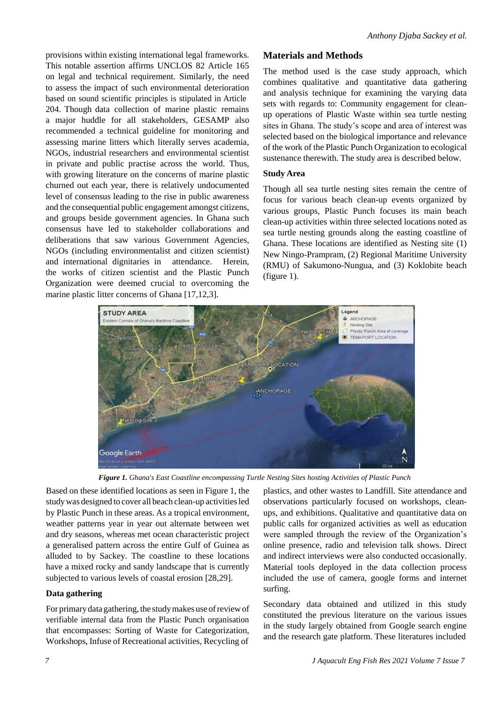provisions within existing international legal frameworks. This notable assertion affirms UNCLOS 82 Article 165 on legal and technical requirement. Similarly, the need to assess the impact of such environmental deterioration based on sound scientific principles is stipulated in Article 204. Though data collection of marine plastic remains a major huddle for all stakeholders, GESAMP also recommended a technical guideline for monitoring and assessing marine litters which literally serves academia, NGOs, industrial researchers and environmental scientist in private and public practise across the world. Thus, with growing literature on the concerns of marine plastic churned out each year, there is relatively undocumented level of consensus leading to the rise in public awareness and the consequential public engagement amongst citizens, and groups beside government agencies. In Ghana such consensus have led to stakeholder collaborations and deliberations that saw various Government Agencies, NGOs (including environmentalist and citizen scientist) and international dignitaries in attendance. Herein, the works of citizen scientist and the Plastic Punch Organization were deemed crucial to overcoming the marine plastic litter concerns of Ghana [17,12,3].

#### **Materials and Methods**

The method used is the case study approach, which combines qualitative and quantitative data gathering and analysis technique for examining the varying data sets with regards to: Community engagement for cleanup operations of Plastic Waste within sea turtle nesting sites in Ghana. The study's scope and area of interest was selected based on the biological importance and relevance of the work of the Plastic Punch Organization to ecological sustenance therewith. The study area is described below.

#### **Study Area**

Though all sea turtle nesting sites remain the centre of focus for various beach clean-up events organized by various groups, Plastic Punch focuses its main beach clean-up activities within three selected locations noted as sea turtle nesting grounds along the easting coastline of Ghana. These locations are identified as Nesting site (1) New Ningo-Prampram, (2) Regional Maritime University (RMU) of Sakumono-Nungua, and (3) Koklobite beach (figure 1).



*Figure 1. Ghana's East Coastline encompassing Turtle Nesting Sites hosting Activities of Plastic Punch*

Based on these identified locations as seen in Figure 1, the studywas designed to cover all beach clean-up activitiesled by Plastic Punch in these areas. As a tropical environment, weather patterns year in year out alternate between wet and dry seasons, whereas met ocean characteristic project a generalised pattern across the entire Gulf of Guinea as alluded to by Sackey. The coastline to these locations have a mixed rocky and sandy landscape that is currently subjected to various levels of coastal erosion [28,29].

#### **Data gathering**

For primary data gathering, the study makes use of review of verifiable internal data from the Plastic Punch organisation that encompasses: Sorting of Waste for Categorization, Workshops, Infuse of Recreational activities, Recycling of

plastics, and other wastes to Landfill. Site attendance and observations particularly focused on workshops, cleanups, and exhibitions. Qualitative and quantitative data on public calls for organized activities as well as education were sampled through the review of the Organization's online presence, radio and television talk shows. Direct and indirect interviews were also conducted occasionally. Material tools deployed in the data collection process included the use of camera, google forms and internet surfing.

Secondary data obtained and utilized in this study constituted the previous literature on the various issues in the study largely obtained from Google search engine and the research gate platform. These literatures included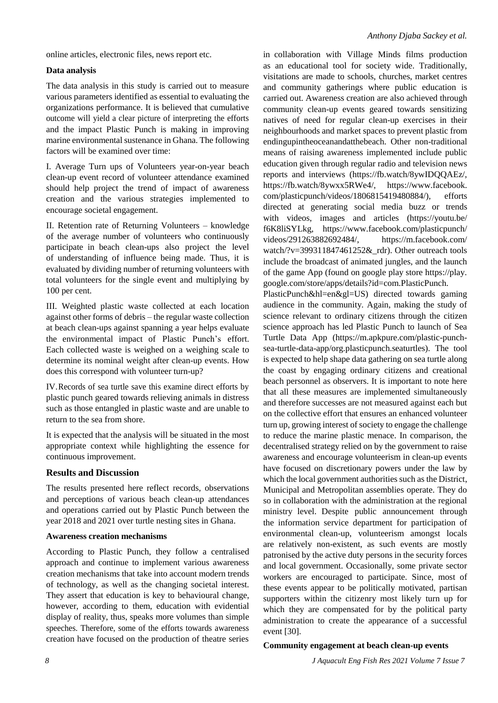online articles, electronic files, news report etc.

#### **Data analysis**

The data analysis in this study is carried out to measure various parameters identified as essential to evaluating the organizations performance. It is believed that cumulative outcome will yield a clear picture of interpreting the efforts and the impact Plastic Punch is making in improving marine environmental sustenance in Ghana. The following factors will be examined over time:

I. Average Turn ups of Volunteers year-on-year beach clean-up event record of volunteer attendance examined should help project the trend of impact of awareness creation and the various strategies implemented to encourage societal engagement.

II. Retention rate of Returning Volunteers – knowledge of the average number of volunteers who continuously participate in beach clean-ups also project the level of understanding of influence being made. Thus, it is evaluated by dividing number of returning volunteers with total volunteers for the single event and multiplying by 100 per cent.

III. Weighted plastic waste collected at each location against other forms of debris – the regular waste collection at beach clean-ups against spanning a year helps evaluate the environmental impact of Plastic Punch's effort. Each collected waste is weighed on a weighing scale to determine its nominal weight after clean-up events. How does this correspond with volunteer turn-up?

IV.Records of sea turtle save this examine direct efforts by plastic punch geared towards relieving animals in distress such as those entangled in plastic waste and are unable to return to the sea from shore.

It is expected that the analysis will be situated in the most appropriate context while highlighting the essence for continuous improvement.

### **Results and Discussion**

The results presented here reflect records, observations and perceptions of various beach clean-up attendances and operations carried out by Plastic Punch between the year 2018 and 2021 over turtle nesting sites in Ghana.

### **Awareness creation mechanisms**

According to Plastic Punch, they follow a centralised approach and continue to implement various awareness creation mechanisms that take into account modern trends of technology, as well as the changing societal interest. They assert that education is key to behavioural change, however, according to them, education with evidential display of reality, thus, speaks more volumes than simple speeches. Therefore, some of the efforts towards awareness creation have focused on the production of theatre series

in collaboration with Village Minds films production as an educational tool for society wide. Traditionally, visitations are made to schools, churches, market centres and community gatherings where public education is carried out. Awareness creation are also achieved through community clean-up events geared towards sensitizing natives of need for regular clean-up exercises in their neighbourhoods and market spaces to prevent plastic from endingupintheoceanandatthebeach. Other non-traditional means of raising awareness implemented include public education given through regular radio and television news reports and interviews (https://fb.watch/8ywIDQQAEz/, https://fb.watch/8ywxx5RWe4/, https://www.facebook. com/plasticpunch/videos/1806815419480884/), efforts directed at generating social media buzz or trends with videos, images and articles (https://youtu.be/ f6K8liSYLkg, [https://www.facebook.com/plasticpunch/](http://www.facebook.com/plasticpunch/) videos/291263882692484/, https://m.facebook.com/ watch/?v=399311847461252& rdr). Other outreach tools include the broadcast of animated jungles, and the launch of the game App (found on google play store https://play. google.com/store/apps/details?id=com.PlasticPunch.

PlasticPunch&hl=en&gl=US) directed towards gaming audience in the community. Again, making the study of science relevant to ordinary citizens through the citizen science approach has led Plastic Punch to launch of Sea Turtle Data App (https://m.apkpure.com/plastic-punchsea-turtle-data-app/org.plasticpunch.seaturtles). The tool is expected to help shape data gathering on sea turtle along the coast by engaging ordinary citizens and creational beach personnel as observers. It is important to note here that all these measures are implemented simultaneously and therefore successes are not measured against each but on the collective effort that ensures an enhanced volunteer turn up, growing interest of society to engage the challenge to reduce the marine plastic menace. In comparison, the decentralised strategy relied on by the government to raise awareness and encourage volunteerism in clean-up events have focused on discretionary powers under the law by which the local government authorities such as the District, Municipal and Metropolitan assemblies operate. They do so in collaboration with the administration at the regional ministry level. Despite public announcement through the information service department for participation of environmental clean-up, volunteerism amongst locals are relatively non-existent, as such events are mostly patronised by the active duty persons in the security forces and local government. Occasionally, some private sector workers are encouraged to participate. Since, most of these events appear to be politically motivated, partisan supporters within the citizenry most likely turn up for which they are compensated for by the political party administration to create the appearance of a successful event [30].

#### **Community engagement at beach clean-up events**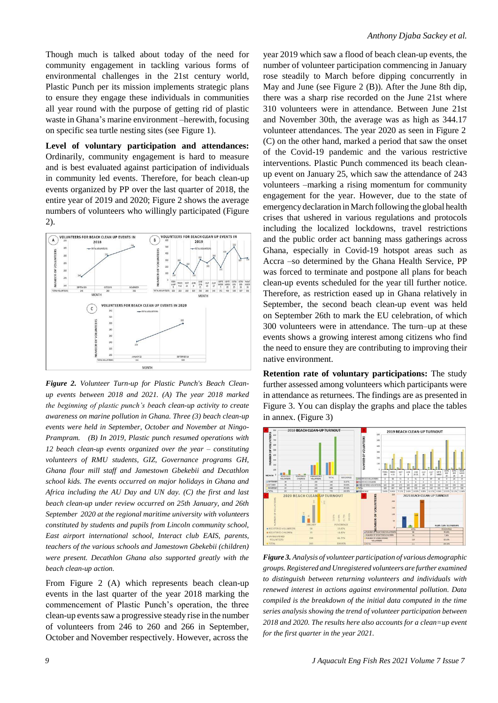Though much is talked about today of the need for community engagement in tackling various forms of environmental challenges in the 21st century world, Plastic Punch per its mission implements strategic plans to ensure they engage these individuals in communities all year round with the purpose of getting rid of plastic waste in Ghana's marine environment –herewith, focusing on specific sea turtle nesting sites (see Figure 1).

**Level of voluntary participation and attendances:** Ordinarily, community engagement is hard to measure and is best evaluated against participation of individuals in community led events. Therefore, for beach clean-up events organized by PP over the last quarter of 2018, the entire year of 2019 and 2020; Figure 2 shows the average numbers of volunteers who willingly participated (Figure 2).



*Figure 2. Volunteer Turn-up for Plastic Punch's Beach Cleanup events between 2018 and 2021. (A) The year 2018 marked the beginning of plastic punch's beach clean-up activity to create awareness on marine pollution in Ghana. Three (3) beach clean-up events were held in September, October and November at Ningo-Prampram. (B) In 2019, Plastic punch resumed operations with 12 beach clean-up events organized over the year – constituting volunteers of RMU students, GIZ, Governance programs GH, Ghana flour mill staff and Jamestown Gbekebii and Decathlon school kids. The events occurred on major holidays in Ghana and Africa including the AU Day and UN day. (C) the first and last beach clean-up under review occurred on 25th January, and 26th September 2020 at the regional maritime university with volunteers constituted by students and pupils from Lincoln community school, East airport international school, Interact club EAIS, parents, teachers of the various schools and Jamestown Gbekebii (children) were present. Decathlon Ghana also supported greatly with the beach clean-up action.*

From Figure 2 (A) which represents beach clean-up events in the last quarter of the year 2018 marking the commencement of Plastic Punch's operation, the three clean-up events saw a progressive steady rise in the number of volunteers from 246 to 260 and 266 in September, October and November respectively. However, across the

year 2019 which saw a flood of beach clean-up events, the number of volunteer participation commencing in January rose steadily to March before dipping concurrently in May and June (see Figure 2 (B)). After the June 8th dip, there was a sharp rise recorded on the June 21st where 310 volunteers were in attendance. Between June 21st and November 30th, the average was as high as 344.17 volunteer attendances. The year 2020 as seen in Figure 2 (C) on the other hand, marked a period that saw the onset of the Covid-19 pandemic and the various restrictive interventions. Plastic Punch commenced its beach cleanup event on January 25, which saw the attendance of 243 volunteers –marking a rising momentum for community engagement for the year. However, due to the state of emergencydeclaration inMarch following the global health crises that ushered in various regulations and protocols including the localized lockdowns, travel restrictions and the public order act banning mass gatherings across Ghana, especially in Covid-19 hotspot areas such as Accra –so determined by the Ghana Health Service, PP was forced to terminate and postpone all plans for beach clean-up events scheduled for the year till further notice. Therefore, as restriction eased up in Ghana relatively in September, the second beach clean-up event was held on September 26th to mark the EU celebration, of which 300 volunteers were in attendance. The turn–up at these events shows a growing interest among citizens who find the need to ensure they are contributing to improving their native environment.

**Retention rate of voluntary participations:** The study further assessed among volunteers which participants were in attendance as returnees. The findings are as presented in Figure 3. You can display the graphs and place the tables in annex. (Figure 3)



*Figure 3. Analysis of volunteer participation of various demographic groups. Registered and Unregistered volunteers are further examined to distinguish between returning volunteers and individuals with renewed interest in actions against environmental pollution. Data compiled is the breakdown of the initial data computed in the time series analysis showing the trend of volunteer participation between 2018 and 2020. The results here also accounts for a clean=up event for the first quarter in the year 2021.*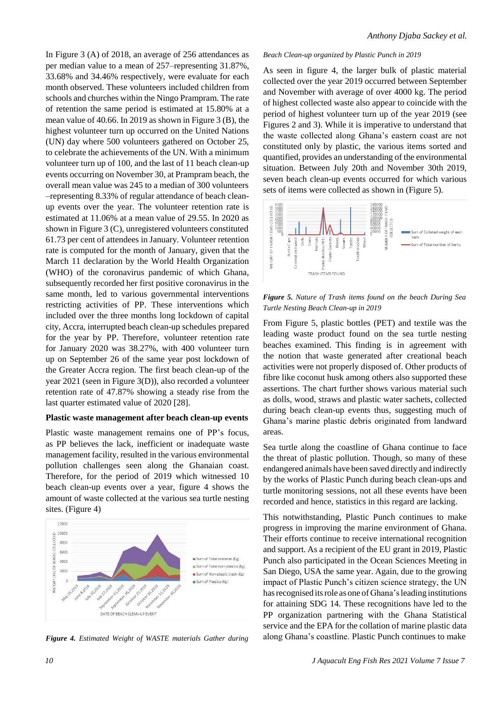In Figure 3 (A) of 2018, an average of 256 attendances as per median value to a mean of 257–representing 31.87%, 33.68% and 34.46% respectively, were evaluate for each month observed. These volunteers included children from schools and churches within the Ningo Prampram. The rate of retention the same period is estimated at 15.80% at a mean value of 40.66. In 2019 as shown in Figure 3 (B), the highest volunteer turn up occurred on the United Nations (UN) day where 500 volunteers gathered on October 25, to celebrate the achievements of the UN. With a minimum volunteer turn up of 100, and the last of 11 beach clean-up events occurring on November 30, at Prampram beach, the overall mean value was 245 to a median of 300 volunteers –representing 8.33% of regular attendance of beach cleanup events over the year. The volunteer retention rate is estimated at 11.06% at a mean value of 29.55. In 2020 as shown in Figure 3 (C), unregistered volunteers constituted 61.73 per cent of attendees in January. Volunteer retention rate is computed for the month of January, given that the March 11 declaration by the World Health Organization (WHO) of the coronavirus pandemic of which Ghana, subsequently recorded her first positive coronavirus in the same month, led to various governmental interventions restricting activities of PP. These interventions which included over the three months long lockdown of capital city, Accra, interrupted beach clean-up schedules prepared for the year by PP. Therefore, volunteer retention rate for January 2020 was 38.27%, with 400 volunteer turn up on September 26 of the same year post lockdown of the Greater Accra region. The first beach clean-up of the year 2021 (seen in Figure 3(D)), also recorded a volunteer retention rate of 47.87% showing a steady rise from the last quarter estimated value of 2020 [28].

### **Plastic waste management after beach clean-up events**

Plastic waste management remains one of PP's focus, as PP believes the lack, inefficient or inadequate waste management facility, resulted in the various environmental pollution challenges seen along the Ghanaian coast. Therefore, for the period of 2019 which witnessed 10 beach clean-up events over a year, figure 4 shows the amount of waste collected at the various sea turtle nesting sites. (Figure 4)



#### *Beach Clean-up organized by Plastic Punch in 2019*

As seen in figure 4, the larger bulk of plastic material collected over the year 2019 occurred between September and November with average of over 4000 kg. The period of highest collected waste also appear to coincide with the period of highest volunteer turn up of the year 2019 (see Figures 2 and 3). While it is imperative to understand that the waste collected along Ghana's eastern coast are not constituted only by plastic, the various items sorted and quantified, provides an understanding of the environmental situation. Between July 20th and November 30th 2019, seven beach clean-up events occurred for which various sets of items were collected as shown in (Figure 5).



*Figure 5. Nature of Trash items found on the beach During Sea Turtle Nesting Beach Clean-up in 2019*

From Figure 5, plastic bottles (PET) and textile was the leading waste product found on the sea turtle nesting beaches examined. This finding is in agreement with the notion that waste generated after creational beach activities were not properly disposed of. Other products of fibre like coconut husk among others also supported these assertions. The chart further shows various material such as dolls, wood, straws and plastic water sachets, collected during beach clean-up events thus, suggesting much of Ghana's marine plastic debris originated from landward areas.

Sea turtle along the coastline of Ghana continue to face the threat of plastic pollution. Though, so many of these endangered animals have been saved directly and indirectly by the works of Plastic Punch during beach clean-ups and turtle monitoring sessions, not all these events have been recorded and hence, statistics in this regard are lacking.

This notwithstanding, Plastic Punch continues to make progress in improving the marine environment of Ghana. Their efforts continue to receive international recognition and support. As a recipient of the EU grant in 2019, Plastic Punch also participated in the Ocean Sciences Meeting in San Diego, USA the same year. Again, due to the growing impact of Plastic Punch's citizen science strategy, the UN has recognised its role as one of Ghana's leading institutions for attaining SDG 14. These recognitions have led to the PP organization partnering with the Ghana Statistical service and the EPA for the collation of marine plastic data along Ghana's coastline. Plastic Punch continues to make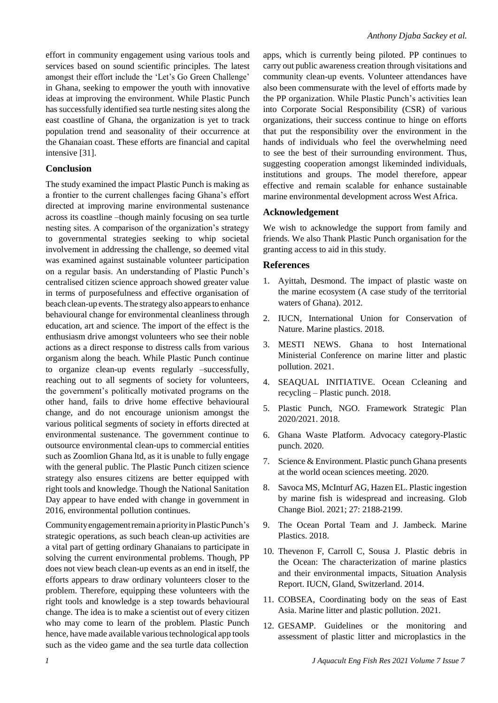effort in community engagement using various tools and services based on sound scientific principles. The latest amongst their effort include the 'Let's Go Green Challenge' in Ghana, seeking to empower the youth with innovative ideas at improving the environment. While Plastic Punch has successfully identified sea turtle nesting sites along the east coastline of Ghana, the organization is yet to track population trend and seasonality of their occurrence at the Ghanaian coast. These efforts are financial and capital intensive [31].

#### **Conclusion**

The study examined the impact Plastic Punch is making as a frontier to the current challenges facing Ghana's effort directed at improving marine environmental sustenance across its coastline –though mainly focusing on sea turtle nesting sites. A comparison of the organization's strategy to governmental strategies seeking to whip societal involvement in addressing the challenge, so deemed vital was examined against sustainable volunteer participation on a regular basis. An understanding of Plastic Punch's centralised citizen science approach showed greater value in terms of purposefulness and effective organisation of beach clean-up events. The strategy also appears to enhance behavioural change for environmental cleanliness through education, art and science. The import of the effect is the enthusiasm drive amongst volunteers who see their noble actions as a direct response to distress calls from various organism along the beach. While Plastic Punch continue to organize clean-up events regularly –successfully, reaching out to all segments of society for volunteers, the government's politically motivated programs on the other hand, fails to drive home effective behavioural change, and do not encourage unionism amongst the various political segments of society in efforts directed at environmental sustenance. The government continue to outsource environmental clean-ups to commercial entities such as Zoomlion Ghana ltd, as it is unable to fully engage with the general public. The Plastic Punch citizen science strategy also ensures citizens are better equipped with right tools and knowledge. Though the National Sanitation Day appear to have ended with change in government in 2016, environmental pollution continues.

CommunityengagementremainapriorityinPlasticPunch's strategic operations, as such beach clean-up activities are a vital part of getting ordinary Ghanaians to participate in solving the current environmental problems. Though, PP does not view beach clean-up events as an end in itself, the efforts appears to draw ordinary volunteers closer to the problem. Therefore, equipping these volunteers with the right tools and knowledge is a step towards behavioural change. The idea is to make a scientist out of every citizen who may come to learn of the problem. Plastic Punch hence, have made available various technological app tools such as the video game and the sea turtle data collection apps, which is currently being piloted. PP continues to carry out public awareness creation through visitations and community clean-up events. Volunteer attendances have also been commensurate with the level of efforts made by the PP organization. While Plastic Punch's activities lean into Corporate Social Responsibility (CSR) of various organizations, their success continue to hinge on efforts that put the responsibility over the environment in the hands of individuals who feel the overwhelming need to see the best of their surrounding environment. Thus, suggesting cooperation amongst likeminded individuals, institutions and groups. The model therefore, appear effective and remain scalable for enhance sustainable marine environmental development across West Africa.

#### **Acknowledgement**

We wish to acknowledge the support from family and friends. We also Thank Plastic Punch organisation for the granting access to aid in this study.

#### **References**

- 1. Ayittah, Desmond. The impact of plastic waste on the marine ecosystem (A case study of the territorial waters of Ghana). 2012.
- 2. IUCN, International Union for [Conservation](https://www.iucn.org/resources/issues-briefs/marine-plastics) of Nature. Marine [plastics. 2018.](https://www.iucn.org/resources/issues-briefs/marine-plastics)
- 3. MESTI NEWS. Ghana to host [International](https://mesti.gov.gh/ghana-host-international-ministerial-conference-marine-litter-plastic-pollution/) [Ministerial](https://mesti.gov.gh/ghana-host-international-ministerial-conference-marine-litter-plastic-pollution/) Conference on marine litter and plastic pollution. 2021.
- 4. SEAQUAL [INITIATIVE.](https://www.seaqual.org/projects/plastic-punch/) Ocean Ccleaning and [recycling](https://www.seaqual.org/projects/plastic-punch/) – Plastic punch. 2018.
- 5. Plastic Punch, NGO. Framework Strategic Plan 2020/2021. 2018.
- 6. Ghana Waste [Platform. Advocacy](https://ghanawasteplatform.org/plastic-punch/) category-Plastic [punch. 2020.](https://ghanawasteplatform.org/plastic-punch/)
- 7. Science & Environment. Plastic punch Ghana presents at [the world](https://www.modernghana.com/news/1047794/plastic-punch-ghana-presents-at-world-ocean-scienc.html) ocean sciences meeting. 2020.
- 8. Savoca MS, McInturf AG, Hazen EL. Plastic ingestion by marine [fish is widespread and increasing. Glob](https://doi.org/10.1111/%20gcb.15533) [Change Biol. 2021; 27:](https://doi.org/10.1111/%20gcb.15533) 2188-2199.
- 9. The Ocean Portal Team and J. [Jambeck.](https://ocean.si.edu/conservation/pollution/marine-plastics) Marine [Plastics.](https://ocean.si.edu/conservation/pollution/marine-plastics) 2018.
- 10. Thevenon F, Carroll C, Sousa J. Plastic debris in the [Ocean: The characterization of marine plastics](file:///C:/Users/omics/Desktop/anthony/10.2305/IUCN.CH.2014.03.en) [and their](file:///C:/Users/omics/Desktop/anthony/10.2305/IUCN.CH.2014.03.en) environmental impacts, Situation Analysis Report. IUCN, Gland, Switzerland. 2014.
- 11. COBSEA, Coordinating body on the seas of East Asia. Marine litter [and plastic](https://www.unep.org/cobsea/what-we-do/marine-litter-and-plastic-pollution) pollution. 2021.
- 12. GESAMP. Guidelines or the monitoring and assessment of plastic litter and microplastics in the